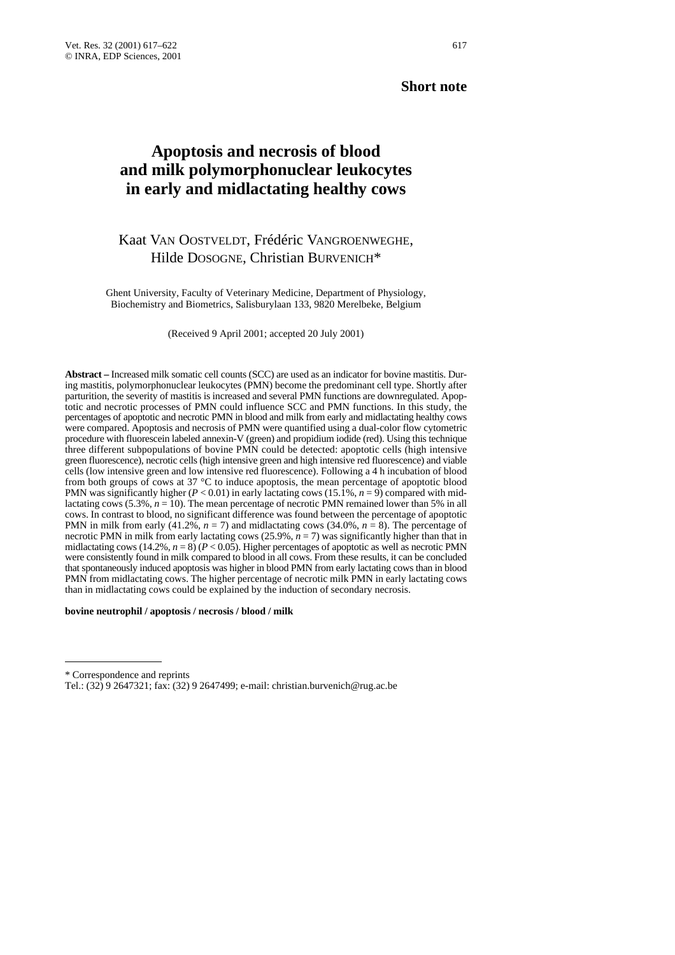### **Short note**

# **Apoptosis and necrosis of blood and milk polymorphonuclear leukocytes in early and midlactating healthy cows**

## Kaat VAN OOSTVELDT, Frédéric VANGROENWEGHE, Hilde DOSOGNE, Christian BURVENICH\*

Ghent University, Faculty of Veterinary Medicine, Department of Physiology, Biochemistry and Biometrics, Salisburylaan 133, 9820 Merelbeke, Belgium

(Received 9 April 2001; accepted 20 July 2001)

**Abstract –** Increased milk somatic cell counts (SCC) are used as an indicator for bovine mastitis. During mastitis, polymorphonuclear leukocytes (PMN) become the predominant cell type. Shortly after parturition, the severity of mastitis is increased and several PMN functions are downregulated. Apoptotic and necrotic processes of PMN could influence SCC and PMN functions. In this study, the percentages of apoptotic and necrotic PMN in blood and milk from early and midlactating healthy cows were compared. Apoptosis and necrosis of PMN were quantified using a dual-color flow cytometric procedure with fluorescein labeled annexin-V (green) and propidium iodide (red). Using this technique three different subpopulations of bovine PMN could be detected: apoptotic cells (high intensive green fluorescence), necrotic cells (high intensive green and high intensive red fluorescence) and viable cells (low intensive green and low intensive red fluorescence). Following a 4 h incubation of blood from both groups of cows at 37 °C to induce apoptosis, the mean percentage of apoptotic blood PMN was significantly higher ( $P < 0.01$ ) in early lactating cows (15.1%,  $n = 9$ ) compared with midlactating cows  $(5.3\%, n=10)$ . The mean percentage of necrotic PMN remained lower than 5% in all cows. In contrast to blood, no significant difference was found between the percentage of apoptotic PMN in milk from early (41.2%, *n* = 7) and midlactating cows (34.0%, *n* = 8). The percentage of necrotic PMN in milk from early lactating cows  $(25.9\%, n=7)$  was significantly higher than that in midlactating cows (14.2%,  $n = 8$ ) ( $P < 0.05$ ). Higher percentages of apoptotic as well as necrotic PMN were consistently found in milk compared to blood in all cows. From these results, it can be concluded that spontaneously induced apoptosis was higher in blood PMN from early lactating cows than in blood PMN from midlactating cows. The higher percentage of necrotic milk PMN in early lactating cows than in midlactating cows could be explained by the induction of secondary necrosis.

#### **bovine neutrophil / apoptosis / necrosis / blood / milk**

<sup>\*</sup> Correspondence and reprints

Tel.: (32) 9 2647321; fax: (32) 9 2647499; e-mail: christian.burvenich@rug.ac.be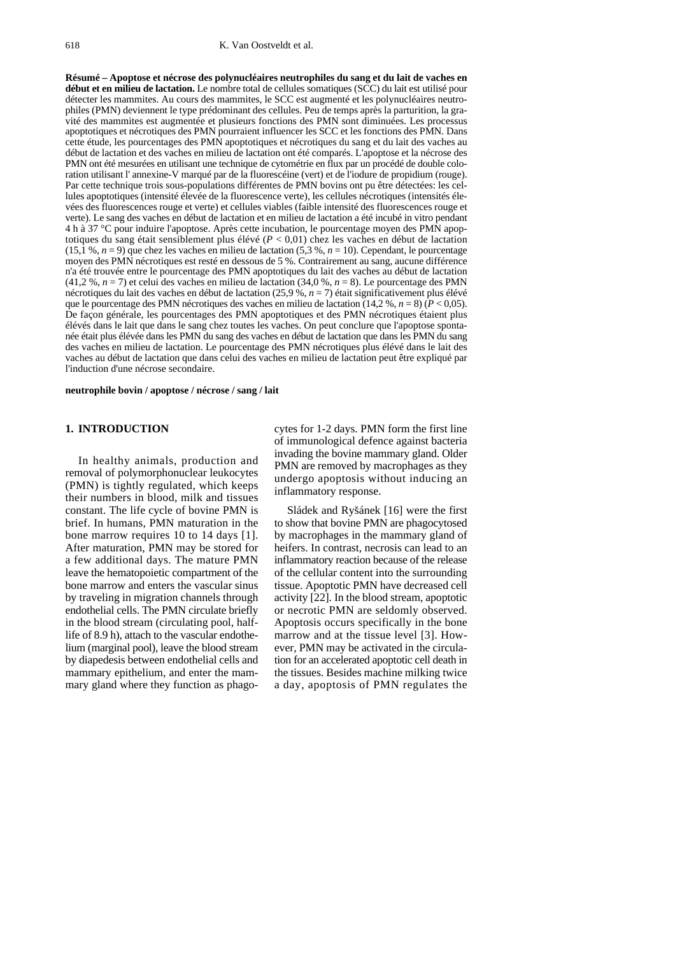**Résumé – Apoptose et nécrose des polynucléaires neutrophiles du sang et du lait de vaches en début et en milieu de lactation.** Le nombre total de cellules somatiques (SCC) du lait est utilisé pour détecter les mammites. Au cours des mammites, le SCC est augmenté et les polynucléaires neutrophiles (PMN) deviennent le type prédominant des cellules. Peu de temps après la parturition, la gravité des mammites est augmentée et plusieurs fonctions des PMN sont diminuées. Les processus apoptotiques et nécrotiques des PMN pourraient influencer les SCC et les fonctions des PMN. Dans cette étude, les pourcentages des PMN apoptotiques et nécrotiques du sang et du lait des vaches au début de lactation et des vaches en milieu de lactation ont été comparés. L'apoptose et la nécrose des PMN ont été mesurées en utilisant une technique de cytométrie en flux par un procédé de double coloration utilisant l' annexine-V marqué par de la fluorescéine (vert) et de l'iodure de propidium (rouge). Par cette technique trois sous-populations différentes de PMN bovins ont pu être détectées: les cellules apoptotiques (intensité élevée de la fluorescence verte), les cellules nécrotiques (intensités élevées des fluorescences rouge et verte) et cellules viables (faible intensité des fluorescences rouge et verte). Le sang des vaches en début de lactation et en milieu de lactation a été incubé in vitro pendant 4 h à 37 °C pour induire l'apoptose. Après cette incubation, le pourcentage moyen des PMN apoptotiques du sang était sensiblement plus élévé (*P* < 0,01) chez les vaches en début de lactation  $(15,1\%, n=9)$  que chez les vaches en milieu de lactation  $(5,3\%, n=10)$ . Cependant, le pourcentage moyen des PMN nécrotiques est resté en dessous de 5 %. Contrairement au sang, aucune différence n'a été trouvée entre le pourcentage des PMN apoptotiques du lait des vaches au début de lactation (41,2 %, *n* = 7) et celui des vaches en milieu de lactation (34,0 %, *n* = 8). Le pourcentage des PMN nécrotiques du lait des vaches en début de lactation (25,9 %, *n* = 7) était significativement plus élévé que le pourcentage des PMN nécrotiques des vaches en milieu de lactation (14,2 %,  $n = 8$ ) ( $P < 0.05$ ). De façon générale, les pourcentages des PMN apoptotiques et des PMN nécrotiques étaient plus élévés dans le lait que dans le sang chez toutes les vaches. On peut conclure que l'apoptose spontanée était plus élévée dans les PMN du sang des vaches en début de lactation que dans les PMN du sang des vaches en milieu de lactation. Le pourcentage des PMN nécrotiques plus élévé dans le lait des vaches au début de lactation que dans celui des vaches en milieu de lactation peut être expliqué par l'induction d'une nécrose secondaire.

#### **neutrophile bovin / apoptose / nécrose / sang / lait**

#### **1. INTRODUCTION**

In healthy animals, production and removal of polymorphonuclear leukocytes (PMN) is tightly regulated, which keeps their numbers in blood, milk and tissues constant. The life cycle of bovine PMN is brief. In humans, PMN maturation in the bone marrow requires 10 to 14 days [1]. After maturation, PMN may be stored for a few additional days. The mature PMN leave the hematopoietic compartment of the bone marrow and enters the vascular sinus by traveling in migration channels through endothelial cells. The PMN circulate briefly in the blood stream (circulating pool, halflife of 8.9 h), attach to the vascular endothelium (marginal pool), leave the blood stream by diapedesis between endothelial cells and mammary epithelium, and enter the mammary gland where they function as phagocytes for 1-2 days. PMN form the first line of immunological defence against bacteria invading the bovine mammary gland. Older PMN are removed by macrophages as they undergo apoptosis without inducing an inflammatory response.

Sládek and Ryšánek [16] were the first to show that bovine PMN are phagocytosed by macrophages in the mammary gland of heifers. In contrast, necrosis can lead to an inflammatory reaction because of the release of the cellular content into the surrounding tissue. Apoptotic PMN have decreased cell activity [22]. In the blood stream, apoptotic or necrotic PMN are seldomly observed. Apoptosis occurs specifically in the bone marrow and at the tissue level [3]. However, PMN may be activated in the circulation for an accelerated apoptotic cell death in the tissues. Besides machine milking twice a day, apoptosis of PMN regulates the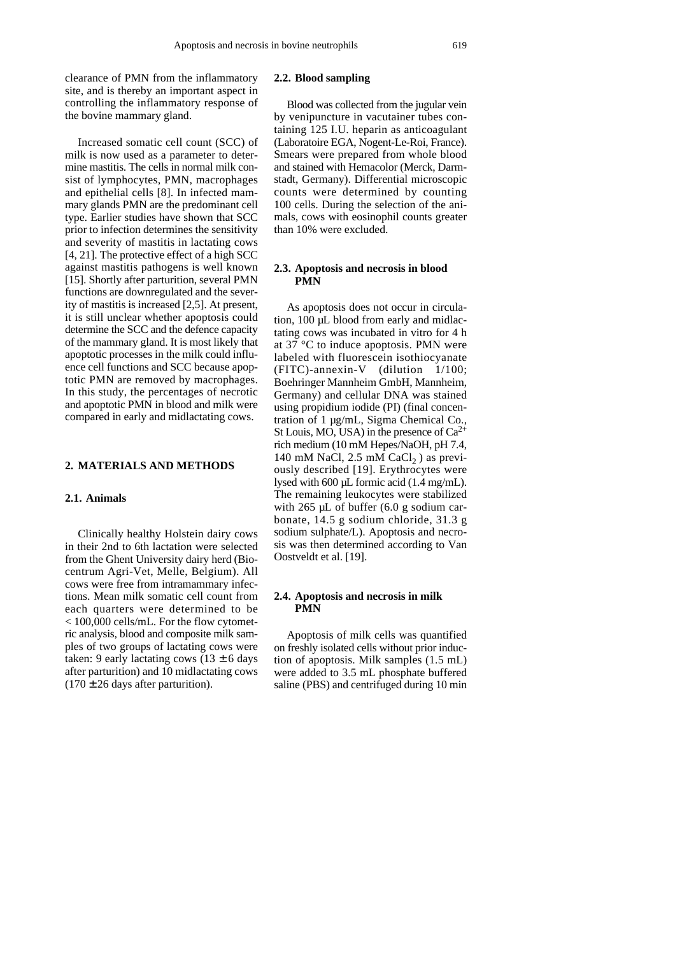clearance of PMN from the inflammatory site, and is thereby an important aspect in controlling the inflammatory response of the bovine mammary gland.

Increased somatic cell count (SCC) of milk is now used as a parameter to determine mastitis. The cells in normal milk consist of lymphocytes, PMN, macrophages and epithelial cells [8]. In infected mammary glands PMN are the predominant cell type. Earlier studies have shown that SCC prior to infection determines the sensitivity and severity of mastitis in lactating cows [4, 21]. The protective effect of a high SCC against mastitis pathogens is well known [15]. Shortly after parturition, several PMN functions are downregulated and the severity of mastitis is increased [2,5]. At present, it is still unclear whether apoptosis could determine the SCC and the defence capacity of the mammary gland. It is most likely that apoptotic processes in the milk could influence cell functions and SCC because apoptotic PMN are removed by macrophages. In this study, the percentages of necrotic and apoptotic PMN in blood and milk were compared in early and midlactating cows.

#### **2. MATERIALS AND METHODS**

#### **2.1. Animals**

Clinically healthy Holstein dairy cows in their 2nd to 6th lactation were selected from the Ghent University dairy herd (Biocentrum Agri-Vet, Melle, Belgium). All cows were free from intramammary infections. Mean milk somatic cell count from each quarters were determined to be < 100,000 cells/mL. For the flow cytometric analysis, blood and composite milk samples of two groups of lactating cows were taken: 9 early lactating cows  $(13 \pm 6 \text{ days})$ after parturition) and 10 midlactating cows  $(170 \pm 26$  days after parturition).

#### **2.2. Blood sampling**

Blood was collected from the jugular vein by venipuncture in vacutainer tubes containing 125 I.U. heparin as anticoagulant (Laboratoire EGA, Nogent-Le-Roi, France). Smears were prepared from whole blood and stained with Hemacolor (Merck, Darmstadt, Germany). Differential microscopic counts were determined by counting 100 cells. During the selection of the animals, cows with eosinophil counts greater than 10% were excluded.

#### **2.3. Apoptosis and necrosis in blood PMN**

As apoptosis does not occur in circulation, 100 µL blood from early and midlactating cows was incubated in vitro for 4 h at 37 °C to induce apoptosis. PMN were labeled with fluorescein isothiocyanate (FITC)-annexin-V (dilution 1/100; Boehringer Mannheim GmbH, Mannheim, Germany) and cellular DNA was stained using propidium iodide (PI) (final concentration of 1 µg/mL, Sigma Chemical Co., St Louis, MO, USA) in the presence of  $Ca^{2+}$ rich medium (10 mM Hepes/NaOH, pH 7.4, 140 mM NaCl,  $2.5$  mM CaCl<sub>2</sub>) as previously described [19]. Erythrocytes were lysed with 600 µL formic acid (1.4 mg/mL). The remaining leukocytes were stabilized with  $265 \mu L$  of buffer  $(6.0 \text{ g}$  sodium carbonate, 14.5 g sodium chloride, 31.3 g sodium sulphate/L). Apoptosis and necrosis was then determined according to Van Oostveldt et al. [19].

#### **2.4. Apoptosis and necrosis in milk PMN**

Apoptosis of milk cells was quantified on freshly isolated cells without prior induction of apoptosis. Milk samples (1.5 mL) were added to 3.5 mL phosphate buffered saline (PBS) and centrifuged during 10 min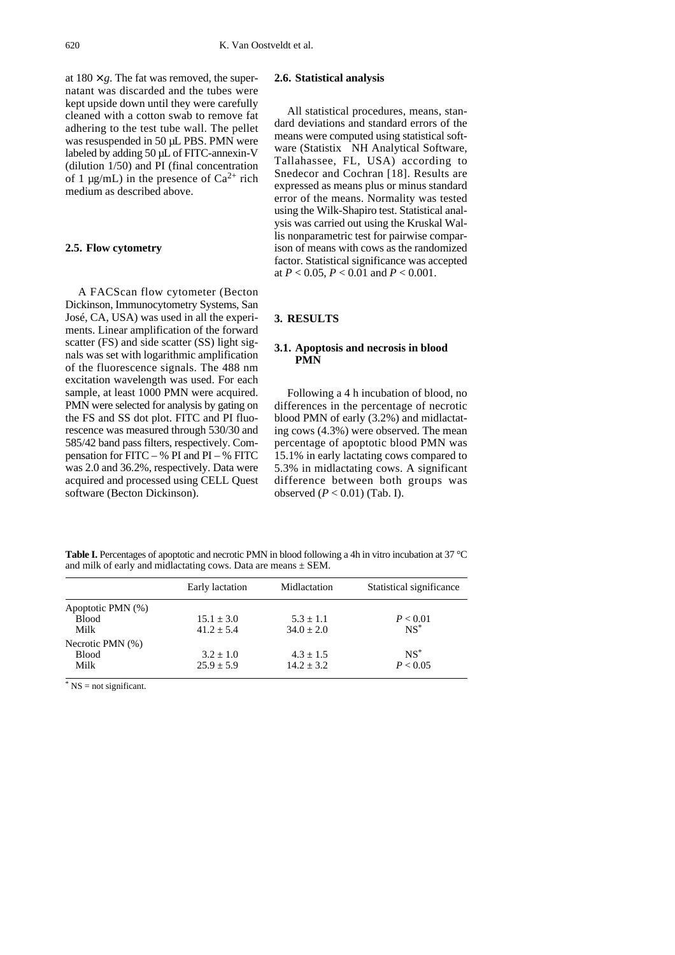at  $180 \times g$ . The fat was removed, the supernatant was discarded and the tubes were kept upside down until they were carefully cleaned with a cotton swab to remove fat adhering to the test tube wall. The pellet was resuspended in 50 µL PBS. PMN were labeled by adding 50 µL of FITC-annexin-V (dilution 1/50) and PI (final concentration of 1  $\mu$ g/mL) in the presence of Ca<sup>2+</sup> rich medium as described above.

#### **2.5. Flow cytometry**

A FACScan flow cytometer (Becton Dickinson, Immunocytometry Systems, San José, CA, USA) was used in all the experiments. Linear amplification of the forward scatter (FS) and side scatter (SS) light signals was set with logarithmic amplification of the fluorescence signals. The 488 nm excitation wavelength was used. For each sample, at least 1000 PMN were acquired. PMN were selected for analysis by gating on the FS and SS dot plot. FITC and PI fluorescence was measured through 530/30 and 585/42 band pass filters, respectively. Compensation for  $\text{FITC} - \% \text{ PI}$  and  $\text{PI} - \% \text{ FITC}$ was 2.0 and 36.2%, respectively. Data were acquired and processed using CELL Quest software (Becton Dickinson).

#### **2.6. Statistical analysis**

All statistical procedures, means, standard deviations and standard errors of the means were computed using statistical software (Statistix $\mathscr{B}$  NH Analytical Software, Tallahassee, FL, USA) according to Snedecor and Cochran [18]. Results are expressed as means plus or minus standard error of the means. Normality was tested using the Wilk-Shapiro test. Statistical analysis was carried out using the Kruskal Wallis nonparametric test for pairwise comparison of means with cows as the randomized factor. Statistical significance was accepted at *P* < 0.05, *P* < 0.01 and *P* < 0.001.

#### **3. RESULTS**

#### **3.1. Apoptosis and necrosis in blood PMN**

Following a 4 h incubation of blood, no differences in the percentage of necrotic blood PMN of early (3.2%) and midlactating cows (4.3%) were observed. The mean percentage of apoptotic blood PMN was 15.1% in early lactating cows compared to 5.3% in midlactating cows. A significant difference between both groups was observed (*P* < 0.01) (Tab. I).

| Statistical significance |
|--------------------------|
|                          |
| P < 0.01                 |
| $NS^*$                   |
|                          |
| $NS^*$                   |
| P < 0.05                 |
|                          |

**Table I.** Percentages of apoptotic and necrotic PMN in blood following a 4h in vitro incubation at 37 °C and milk of early and midlactating cows. Data are means  $\pm$  SEM.

 $*$  NS = not significant.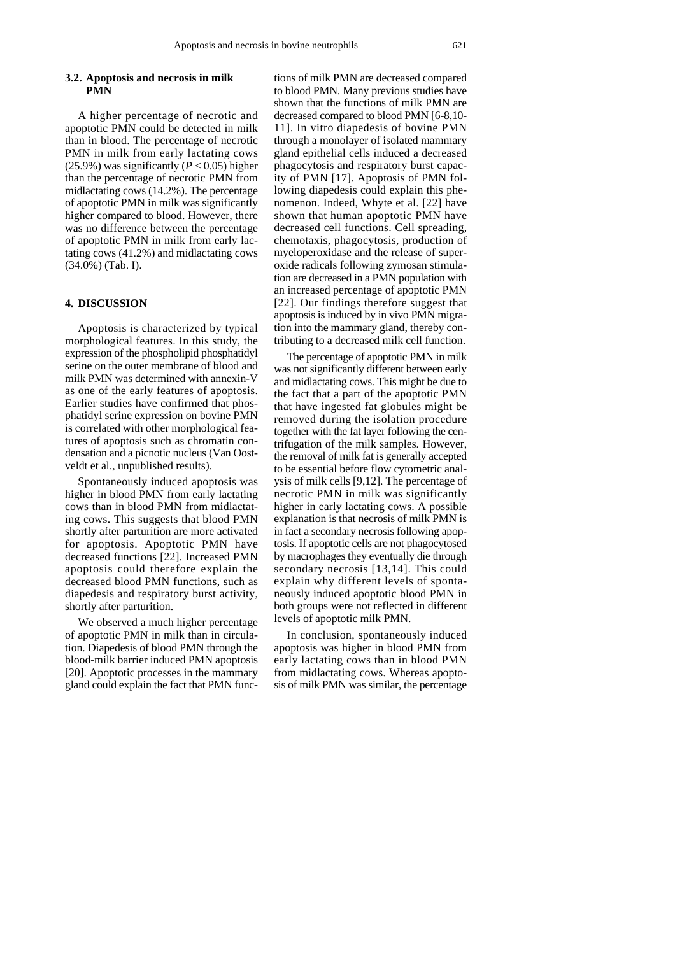#### **3.2. Apoptosis and necrosis in milk PMN**

A higher percentage of necrotic and apoptotic PMN could be detected in milk than in blood. The percentage of necrotic PMN in milk from early lactating cows (25.9%) was significantly ( $P < 0.05$ ) higher than the percentage of necrotic PMN from midlactating cows (14.2%). The percentage of apoptotic PMN in milk was significantly higher compared to blood. However, there was no difference between the percentage of apoptotic PMN in milk from early lactating cows (41.2%) and midlactating cows (34.0%) (Tab. I).

#### **4. DISCUSSION**

Apoptosis is characterized by typical morphological features. In this study, the expression of the phospholipid phosphatidyl serine on the outer membrane of blood and milk PMN was determined with annexin-V as one of the early features of apoptosis. Earlier studies have confirmed that phosphatidyl serine expression on bovine PMN is correlated with other morphological features of apoptosis such as chromatin condensation and a picnotic nucleus (Van Oostveldt et al., unpublished results).

Spontaneously induced apoptosis was higher in blood PMN from early lactating cows than in blood PMN from midlactating cows. This suggests that blood PMN shortly after parturition are more activated for apoptosis. Apoptotic PMN have decreased functions [22]. Increased PMN apoptosis could therefore explain the decreased blood PMN functions, such as diapedesis and respiratory burst activity, shortly after parturition.

We observed a much higher percentage of apoptotic PMN in milk than in circulation. Diapedesis of blood PMN through the blood-milk barrier induced PMN apoptosis [20]. Apoptotic processes in the mammary gland could explain the fact that PMN functions of milk PMN are decreased compared to blood PMN. Many previous studies have shown that the functions of milk PMN are decreased compared to blood PMN [6-8,10- 11]. In vitro diapedesis of bovine PMN through a monolayer of isolated mammary gland epithelial cells induced a decreased phagocytosis and respiratory burst capacity of PMN [17]. Apoptosis of PMN following diapedesis could explain this phenomenon. Indeed, Whyte et al. [22] have shown that human apoptotic PMN have decreased cell functions. Cell spreading, chemotaxis, phagocytosis, production of myeloperoxidase and the release of superoxide radicals following zymosan stimulation are decreased in a PMN population with an increased percentage of apoptotic PMN [22]. Our findings therefore suggest that apoptosis is induced by in vivo PMN migration into the mammary gland, thereby contributing to a decreased milk cell function.

The percentage of apoptotic PMN in milk was not significantly different between early and midlactating cows. This might be due to the fact that a part of the apoptotic PMN that have ingested fat globules might be removed during the isolation procedure together with the fat layer following the centrifugation of the milk samples. However, the removal of milk fat is generally accepted to be essential before flow cytometric analysis of milk cells [9,12]. The percentage of necrotic PMN in milk was significantly higher in early lactating cows. A possible explanation is that necrosis of milk PMN is in fact a secondary necrosis following apoptosis. If apoptotic cells are not phagocytosed by macrophages they eventually die through secondary necrosis [13,14]. This could explain why different levels of spontaneously induced apoptotic blood PMN in both groups were not reflected in different levels of apoptotic milk PMN.

In conclusion, spontaneously induced apoptosis was higher in blood PMN from early lactating cows than in blood PMN from midlactating cows. Whereas apoptosis of milk PMN was similar, the percentage